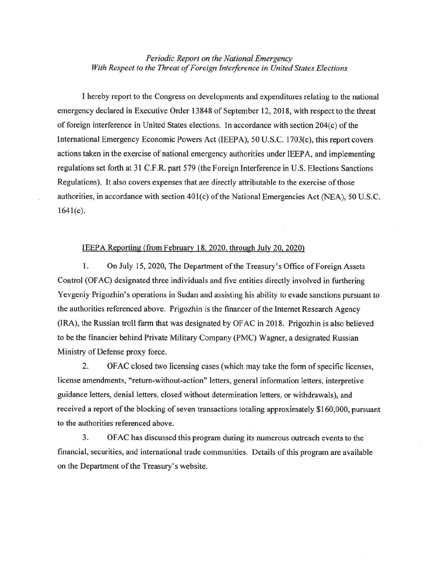## *Periodic Report on the National Emergency With Respect to the Threat of Foreign Interference in United States Elections*

I hereby report to the Congress on developments and expenditures relating to the national emergency declared in Executive Order 13848 of September 12,2018, with respect to the threat of foreign interference in United States elections. In accordance with section 204(c) ofthe International Emergency Economic Powers Act (IEEPA), 50 U.S.C. 1703(c), this report covers actions taken in the exercise of national emergency authorities under IEEP A, and implementing regulations set forth at 31 C.F.R. part 579 (the Foreign Interference in U.S. Elections Sanctions Regulations). It also covers expenses that are directly attributable to the exercise of those authorities, in accordance with section 401(c) of the National Emergencies Act (NEA), 50 U.S.C.  $1641(c)$ .

## IEEPA Reporting (from February 18. 2020, through July 20. 2020)

1. On July 15, 2020, The Department of the Treasury's Office of Foreign Assets Control (OF AC) designated three individuals and five entities directly involved in furthering Yevgeniy Prigozhin's operations in Sudan and assisting his ability to evade sanctions pursuant to the authorities referenced above. Prigozhin is the financer of the Internet Research Agency (IRA), the Russian troll farm that was designated by OF AC in 2018. Prigozhin is also believed to be the financier behind Private Military Company (PMC) Wagner, a designated Russian Ministry of Defense proxy force.

2. OF AC closed two licensing cases (which may take the form of specific licenses, license amendments, "return-without-action" letters, general information letters, interpretive guidance letters, denial letters, closed without determination letters, or withdrawals), and received a report of the blocking of seven transactions totaling approximately \$160,000, pursuant to the authorities referenced above.

3. OFAC has discussed this program during its numerous outreach events to the financial, securities, and international trade communities. Details of this program are available on the Department of the Treasury's website.